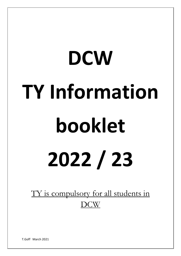# **DCW TY Information booklet 2022 / 23**

TY is compulsory for all students in DCW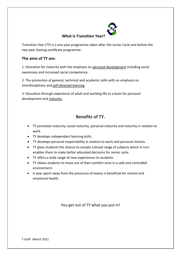

# **What is Transition Year?**

Transition Year (TY) is a one year programme taken after the Junior Cycle and before the two-year leaving certificate programme.

# **The aims of TY are:**

1. Education for maturity with the emphasis on personal development including social awareness and increased social competence.

2. The promotion of general, technical and academic skills with an emphasis on interdisciplinary and self-directed learning.

3. Education through experience of adult and working life as a basis for personal development and maturity.

# **Benefits of TY.**

- TY promotes maturity; social maturity, personal maturity and maturity in relation to work.
- TY develops independent learning skills.
- TY develops personal responsibility in relation to work and personal choices.
- TY gives students the chance to sample a broad range of subjects which in turn enables them to make better educated decisions for senior cycle.
- TY offers a wide range of new experiences to students.
- TY allows students to move out of their comfort zone in a safe and controlled environment.
- A year spent away from the pressures of exams is beneficial for mental and emotional health.

You get out of TY what you put in!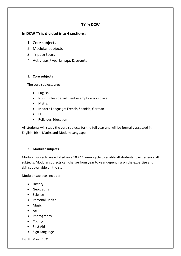# **TY in DCW**

# **In DCW TY is divided into 4 sections:**

- 1. Core subjects
- 2. Modular subjects
- 3. Trips & tours
- 4. Activities / workshops & events

## **1. Core subjects**

The core subjects are:

- English
- Irish ( unless department exemption is in place)
- Maths
- Modern Language: French, Spanish, German
- PE
- Religious Education

All students will study the core subjects for the full year and will be formally assessed in English, Irish, Maths and Modern Language.

# 2. **Modular subjects**

Modular subjects are rotated on a 10 / 11 week cycle to enable all students to experience all subjects. Modular subjects can change from year to year depending on the expertise and skill set available on the staff.

Modular subjects include:

- History
- Geography
- Science
- Personal Health
- Music
- Art
- Photography
- Coding
- First Aid
- Sign Language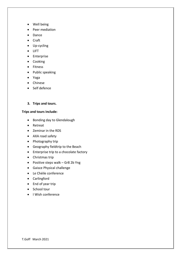- Well being
- Peer mediation
- Dance
- Craft
- Up-cycling
- LIFT
- Enterprise
- Cooking
- Fitness
- Public speaking
- Yoga
- Chinese
- Self defence
- **3. Trips and tours.**

### **Trips and tours include:**

- Bonding day to Glendalough
- Retreat
- Zeminar in the RDS
- AXA road safety
- Photography trip
- Geography fieldtrip to the Beach
- Enterprise trip to a chocolate factory
- Christmas trip
- Positive steps walk Gr8 2b Yng
- Gaisce Physical challenge
- Le Chéile conference
- Carlingford
- End of year trip
- School tour
- I Wish conference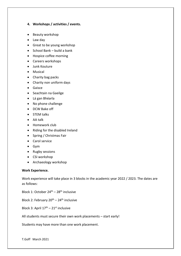### **4. Workshops / activities / events.**

- Beauty workshop
- Law day
- Great to be young workshop
- School Bank build a bank
- Hospice coffee morning
- Careers workshops
- Junk Kouture
- Musical
- Charity bag packs
- Charity non uniform days
- Gaisce
- Seachtain na Gaeilge
- Lá gan Bhéarla
- No phone challenge
- DCW Bake off
- STEM talks
- AA talk
- Homework club
- Riding for the disabled Ireland
- Spring / Christmas Fair
- Carol service
- Gym
- Rugby sessions
- CSI workshop
- Archaeology workshop

### **Work Experience.**

Work experience will take place in 3 blocks in the academic year 2022 / 2023. The dates are as follows:

Block 1: October 24<sup>th</sup> – 28<sup>th</sup> inclusive

Block 2: February  $20^{th}$  – 24<sup>th</sup> inclusive

Block 3: April  $17^{\text{th}} - 21^{\text{st}}$  inclusive

All students must secure their own work placements – start early!

Students may have more than one work placement.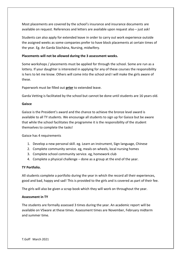Most placements are covered by the school's insurance and insurance documents are available on request. References and letters are available upon request also – just ask!

Students can also apply for extended leave in order to carry out work experience outside the assigned weeks as some companies prefer to have block placements at certain times of the year. Eg. An Garda Síochána, Nursing, midwifery.

### **Placements will not be allowed during the 3 assessment weeks.**

Some workshops / placements must be applied for through the school. Some are run as a lottery. If your daughter is interested in applying for any of these courses the responsibility is hers to let me know. Others will come into the school and I will make the girls aware of these.

Paperwork must be filled out **prior** to extended leave.

Garda Vetting is facilitated by the school but cannot be done until students are 16 years old.

### **Gaisce**

Gaisce is the President's award and the chance to achieve the bronze level award is available to all TY students. We encourage all students to sign up for Gaisce but be aware that while the school facilitates the programme it is the responsibility of the student themselves to complete the tasks!

Gaisce has 4 requirements

- 1. Develop a new personal skill. eg. Learn an instrument, Sign language, Chinese
- 2. Complete community service. eg, meals on wheels, local nursing homes
- 3. Complete school community service. eg, homework club
- 4. Complete a physical challenge done as a group at the end of the year.

### **TY Portfolio.**

All students complete a portfolio during the year in which the record all their experiences, good and bad, happy and sad! This is provided to the girls and is covered as part of their fee.

The girls will also be given a scrap book which they will work on throughout the year.

### **Assessment in TY**

The students are formally assessed 3 times during the year. An academic report will be available on VSware at these times. Assessment times are November, February midterm and summer time.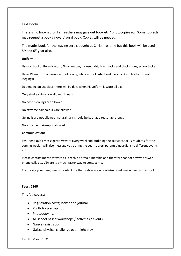### **Text Books**

There is no booklist for TY. Teachers may give out booklets / photocopies etc. Some subjects may request a book / novel / aural book. Copies will be needed.

The maths book for the leaving cert is bought at Christmas time but this book will be used in 5<sup>th</sup> and 6<sup>th</sup> year also.

### **Uniform:**

Usual school uniform is worn, Navy jumper, blouse, skirt, black socks and black shoes, school jacket.

Usual PE uniform is worn – school hoody, white school t-shirt and navy tracksuit bottoms ( not leggings)

Depending on activities there will be days when PE uniform is worn all day.

Only stud earrings are allowed in ears.

No nose piercings are allowed.

No extreme hair colours are allowed.

Gel nails are not allowed, natural nails should be kept at a reasonable length.

No extreme make-up is allowed.

### **Communication:**

I will send out a message via VSware every weekend outlining the activities for TY students for the coming week. I will also message you during the year to alert parents / guardians to different events etc.

Please contact me via VSware as I teach a normal timetable and therefore cannot always answer phone calls etc. VSware is a much faster way to contact me.

Encourage your daughters to contact me themselves via schoolwise or ask me in person in school.

### **Fees: €360**

This fee covers:

- Registration costs; locker and journal.
- Portfolio & scrap book.
- Photocopying.
- All school based workshops / activities / events
- Gaisce registration
- Gaisce physical challenge over night stay